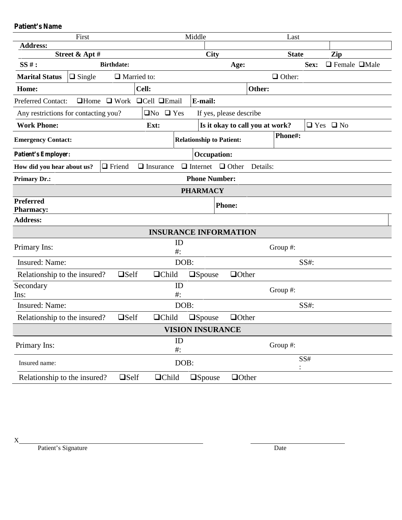**Patient's Name**

| First                                |                |                                                  |                      | Middle       |                                         |                                 | Last         |               |      |                           |  |
|--------------------------------------|----------------|--------------------------------------------------|----------------------|--------------|-----------------------------------------|---------------------------------|--------------|---------------|------|---------------------------|--|
| <b>Address:</b>                      |                |                                                  |                      |              |                                         |                                 |              |               |      |                           |  |
|                                      | Street & Apt # |                                                  |                      | City         |                                         |                                 | <b>State</b> |               | Zip  |                           |  |
| $SS#$ :                              |                | <b>Birthdate:</b>                                |                      |              | Age:                                    |                                 |              |               | Sex: | $\Box$ Female $\Box$ Male |  |
| <b>Marital Status</b>                | $\Box$ Single  |                                                  | $\Box$ Married to:   |              |                                         |                                 |              | $\Box$ Other: |      |                           |  |
| Home:                                |                |                                                  | Cell:                |              |                                         |                                 | Other:       |               |      |                           |  |
| <b>Preferred Contact:</b>            |                | $\Box$ Home $\Box$ Work $\Box$ Cell $\Box$ Email |                      |              | E-mail:                                 |                                 |              |               |      |                           |  |
| Any restrictions for contacting you? |                |                                                  | $\Box$ No $\Box$ Yes |              |                                         | If yes, please describe         |              |               |      |                           |  |
| <b>Work Phone:</b>                   |                |                                                  | Ext:                 |              |                                         | Is it okay to call you at work? |              |               |      | $\Box$ Yes $\Box$ No      |  |
| <b>Emergency Contact:</b>            |                |                                                  |                      |              | <b>Relationship to Patient:</b>         |                                 |              | Phone#:       |      |                           |  |
| <b>Patient's Employer:</b>           |                |                                                  |                      |              | <b>Occupation:</b>                      |                                 |              |               |      |                           |  |
| How did you hear about us?           |                | $\Box$ Friend                                    | $\Box$ Insurance     |              |                                         | $\Box$ Internet $\Box$ Other    | Details:     |               |      |                           |  |
| <b>Primary Dr.:</b>                  |                |                                                  |                      |              | <b>Phone Number:</b>                    |                                 |              |               |      |                           |  |
|                                      |                |                                                  |                      |              | <b>PHARMACY</b>                         |                                 |              |               |      |                           |  |
| <b>Preferred</b><br><b>Pharmacy:</b> |                |                                                  |                      |              |                                         | <b>Phone:</b>                   |              |               |      |                           |  |
| <b>Address:</b>                      |                |                                                  |                      |              |                                         |                                 |              |               |      |                           |  |
|                                      |                |                                                  |                      |              |                                         | <b>INSURANCE INFORMATION</b>    |              |               |      |                           |  |
| Primary Ins:                         |                |                                                  |                      | ID<br>$#$ :  |                                         |                                 |              | Group $#$ :   |      |                           |  |
| Insured: Name:                       |                |                                                  |                      | DOB:         |                                         |                                 |              |               | SS#: |                           |  |
| Relationship to the insured?         |                | $\square$ Self                                   | $\Box$ Child         |              | $\square$ Spouse                        | $\Box$ Other                    |              |               |      |                           |  |
| Secondary<br>Ins:                    |                | ID<br>$#$ :                                      |                      |              |                                         |                                 |              | Group #:      |      |                           |  |
| Insured: Name:                       | DOB:           |                                                  |                      |              |                                         |                                 |              | SS#:          |      |                           |  |
| Relationship to the insured?         |                | $\square$ Self                                   | $\Box$ Child         |              | $\square$ Spouse                        | $\Box$ Other                    |              |               |      |                           |  |
|                                      |                |                                                  |                      |              | <b>VISION INSURANCE</b>                 |                                 |              |               |      |                           |  |
| Primary Ins:                         |                |                                                  |                      | ID<br>$\#$ : |                                         |                                 |              | Group #:      |      |                           |  |
| Insured name:                        |                |                                                  | DOB:                 |              |                                         |                                 |              |               | SS#  |                           |  |
| Relationship to the insured?         |                | $\square$ Self                                   |                      | $\Box$ Child | $\Box \mathbf{S} \mathbf{p} \mathbf{o}$ | $\Box$ Other                    |              |               |      |                           |  |

 $X_{-}$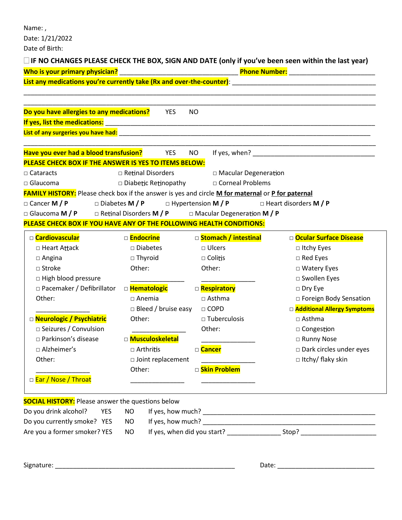Name: ,

Date: 1/21/2022

Date of Birth:

# **IF NO CHANGES PLEASE CHECK THE BOX, SIGN AND DATE (only if you've been seen within the last year)**

| Who is your primary physician?                                                                           |                             |            | Phone Number: National Phone Number 2014 |                                                                                                                                                                                                                               |  |  |  |  |  |
|----------------------------------------------------------------------------------------------------------|-----------------------------|------------|------------------------------------------|-------------------------------------------------------------------------------------------------------------------------------------------------------------------------------------------------------------------------------|--|--|--|--|--|
|                                                                                                          |                             |            |                                          |                                                                                                                                                                                                                               |  |  |  |  |  |
| Do you have allergies to any medications?                                                                |                             | <b>YES</b> | <b>NO</b>                                |                                                                                                                                                                                                                               |  |  |  |  |  |
|                                                                                                          |                             |            |                                          |                                                                                                                                                                                                                               |  |  |  |  |  |
|                                                                                                          |                             |            |                                          |                                                                                                                                                                                                                               |  |  |  |  |  |
|                                                                                                          |                             |            |                                          |                                                                                                                                                                                                                               |  |  |  |  |  |
| Have you ever had a blood transfusion? YES                                                               |                             |            | NO.                                      | If yes, when? The contract of the contract of the contract of the contract of the contract of the contract of the contract of the contract of the contract of the contract of the contract of the contract of the contract of |  |  |  |  |  |
| PLEASE CHECK BOX IF THE ANSWER IS YES TO ITEMS BELOW:                                                    |                             |            |                                          |                                                                                                                                                                                                                               |  |  |  |  |  |
| $\Box$ Cataracts                                                                                         | □ Retinal Disorders         |            | □ Macular Degeneration                   |                                                                                                                                                                                                                               |  |  |  |  |  |
| $\Box$ Glaucoma                                                                                          | $\Box$ Diabetic Retinopathy |            | □ Corneal Problems                       |                                                                                                                                                                                                                               |  |  |  |  |  |
| <b>FAMILY HISTORY:</b> Please check box if the answer is yes and circle M for maternal or P for paternal |                             |            |                                          |                                                                                                                                                                                                                               |  |  |  |  |  |
| □ Cancer M / P                                                                                           |                             |            |                                          | $\Box$ Diabetes M / P $\Box$ Hypertension M / P $\Box$ Heart disorders M / P                                                                                                                                                  |  |  |  |  |  |
| □ Glaucoma M / P □ Retinal Disorders M / P □ Macular Degeneration M / P                                  |                             |            |                                          |                                                                                                                                                                                                                               |  |  |  |  |  |
| PLEASE CHECK BOX IF YOU HAVE ANY OF THE FOLLOWING HEALTH CONDITIONS:                                     |                             |            |                                          |                                                                                                                                                                                                                               |  |  |  |  |  |
| □ Cardiovascular                                                                                         | □ <mark>Endocrine</mark>    |            | □ Stomach / intestinal                   | D Ocular Surface Disease                                                                                                                                                                                                      |  |  |  |  |  |
| □ Heart Attack                                                                                           | $\square$ Diabetes          |            | □ Ulcers                                 | $\Box$ Itchy Eyes                                                                                                                                                                                                             |  |  |  |  |  |
| $\Box$ Angina                                                                                            | $\Box$ Thyroid              |            | $\Box$ Colitis                           | $\Box$ Red Eyes                                                                                                                                                                                                               |  |  |  |  |  |
| □ Stroke                                                                                                 | Other:                      |            | Other:                                   | □ Watery Eyes                                                                                                                                                                                                                 |  |  |  |  |  |
| □ High blood pressure                                                                                    |                             |            |                                          | □ Swollen Eyes                                                                                                                                                                                                                |  |  |  |  |  |
| $\Box$ Pacemaker / Defibrillator                                                                         | □ <b>Hematologic</b>        |            | <b>Respiratory</b>                       | $\Box$ Dry Eye                                                                                                                                                                                                                |  |  |  |  |  |
| Other:                                                                                                   | $\Box$ Anemia               |            | $\square$ Asthma                         | □ Foreign Body Sensation                                                                                                                                                                                                      |  |  |  |  |  |
|                                                                                                          |                             |            | $\Box$ Bleed / bruise easy $\Box$ COPD   | □ Additional Allergy Symptoms                                                                                                                                                                                                 |  |  |  |  |  |
| D Neurologic / Psychiatric                                                                               | Other:                      |            | $\Box$ Tuberculosis                      | $\square$ Asthma                                                                                                                                                                                                              |  |  |  |  |  |
| $\Box$ Seizures / Convulsion                                                                             |                             |            | Other:                                   | □ Congestion                                                                                                                                                                                                                  |  |  |  |  |  |
| □ Parkinson's disease                                                                                    | □ Musculoskeletal           |            |                                          | □ Runny Nose                                                                                                                                                                                                                  |  |  |  |  |  |
| □ Alzheimer's                                                                                            | □ Arthritis                 |            | □ Cancer                                 | □ Dark circles under eyes                                                                                                                                                                                                     |  |  |  |  |  |
| Other:<br>$\Box$ Joint replacement                                                                       |                             |            |                                          | $\Box$ Itchy/ flaky skin                                                                                                                                                                                                      |  |  |  |  |  |
|                                                                                                          | Other:                      |            | □ Skin Problem                           |                                                                                                                                                                                                                               |  |  |  |  |  |
| □ Ear / Nose / Throat                                                                                    |                             |            |                                          |                                                                                                                                                                                                                               |  |  |  |  |  |
| <b>SOCIAL HISTORY:</b> Please answer the questions below                                                 |                             |            |                                          |                                                                                                                                                                                                                               |  |  |  |  |  |
| Do you drink alcohol?<br><b>YES</b>                                                                      | <b>NO</b>                   |            |                                          |                                                                                                                                                                                                                               |  |  |  |  |  |
| Do you currently smoke? YES                                                                              | <b>NO</b>                   |            |                                          |                                                                                                                                                                                                                               |  |  |  |  |  |
| Are you a former smoker? YES                                                                             | <b>NO</b>                   |            |                                          |                                                                                                                                                                                                                               |  |  |  |  |  |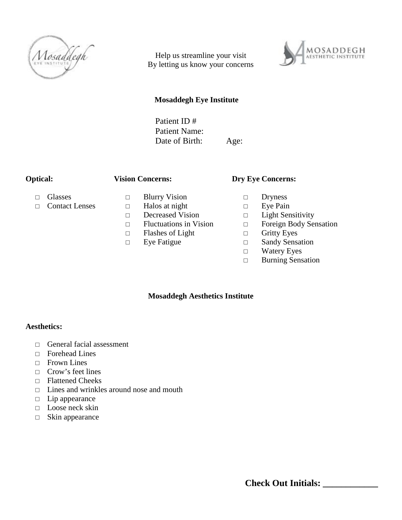

Help us streamline your visit By letting us know your concerns



# **Mosaddegh Eye Institute**

Patient ID # Patient Name: Date of Birth: Age:

### **Optical:**

### **Vision Concerns:**

Glasses Contact Lenses Blurry Vision Halos at night Decreased Vision Fluctuations in Vision Flashes of Light Eye Fatigue

**Dry Eye Concerns:**

Dryness Eye Pain Light Sensitivity Foreign Body Sensation Gritty Eyes Sandy Sensation Watery Eyes Burning Sensation

#### **Mosaddegh Aesthetics Institute**

## **Aesthetics:**

General facial assessment Forehead Lines Frown Lines Crow's feet lines Flattened Cheeks Lines and wrinkles around nose and mouth Lip appearance Loose neck skin Skin appearance

**Check Out Initials: \_\_\_\_\_\_\_\_\_\_\_\_**